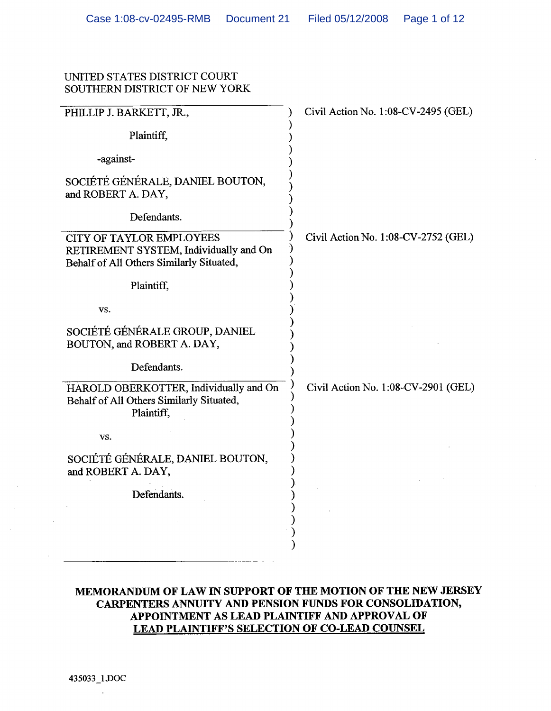## UNITED STATES DISTRICT COURT SOUTHERN DISTRICT OF NEW YORK

| PHILLIP J. BARKETT, JR.,                                                                                              | Civil Action No. 1:08-CV-2495 (GEL) |
|-----------------------------------------------------------------------------------------------------------------------|-------------------------------------|
| Plaintiff,                                                                                                            |                                     |
| -against-                                                                                                             |                                     |
| SOCIÉTÉ GÉNÉRALE, DANIEL BOUTON,<br>and ROBERT A. DAY,                                                                |                                     |
| Defendants.                                                                                                           |                                     |
| <b>CITY OF TAYLOR EMPLOYEES</b><br>RETIREMENT SYSTEM, Individually and On<br>Behalf of All Others Similarly Situated, | Civil Action No. 1:08-CV-2752 (GEL) |
| Plaintiff,                                                                                                            |                                     |
| VS.                                                                                                                   |                                     |
| SOCIÉTÉ GÉNÉRALE GROUP, DANIEL<br>BOUTON, and ROBERT A. DAY,                                                          |                                     |
| Defendants.                                                                                                           |                                     |
| HAROLD OBERKOTTER, Individually and On<br>Behalf of All Others Similarly Situated,<br>Plaintiff,                      | Civil Action No. 1:08-CV-2901 (GEL) |
| VS.                                                                                                                   |                                     |
| SOCIÉTÉ GÉNÉRALE, DANIEL BOUTON,<br>and ROBERT A. DAY,                                                                |                                     |
| Defendants.                                                                                                           |                                     |
|                                                                                                                       |                                     |
|                                                                                                                       |                                     |

# MEMORANDUM OF LAW IN SUPPORT OF THE MOTION OF THE NEW JERSEY CARPENTERS ANNUITY AND PENSION FUNDS FOR CONSOLIDATION, APPOINTMENT AS LEAD PLAINTIFF AND APPROVAL OF **LEAD PLAINTIFF'S SELECTION OF CO-LEAD COUNSEL**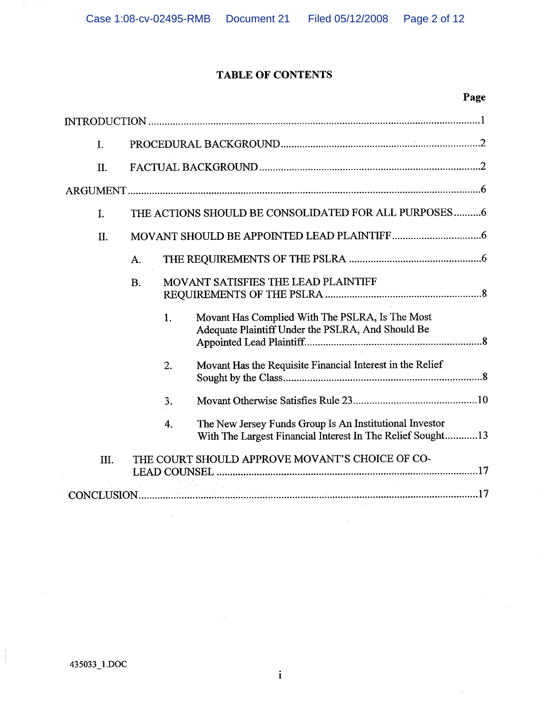# **TABLE OF CONTENTS**

# Page

| I.  |           |    |                                                                                                                        |  |
|-----|-----------|----|------------------------------------------------------------------------------------------------------------------------|--|
| II. |           |    |                                                                                                                        |  |
|     |           |    |                                                                                                                        |  |
| I.  |           |    | THE ACTIONS SHOULD BE CONSOLIDATED FOR ALL PURPOSES6                                                                   |  |
| II. |           |    |                                                                                                                        |  |
|     | A.        |    |                                                                                                                        |  |
|     | <b>B.</b> |    | MOVANT SATISFIES THE LEAD PLAINTIFF                                                                                    |  |
|     |           | 1. | Movant Has Complied With The PSLRA, Is The Most<br>Adequate Plaintiff Under the PSLRA, And Should Be                   |  |
|     |           | 2. | Movant Has the Requisite Financial Interest in the Relief                                                              |  |
|     |           | 3. |                                                                                                                        |  |
|     |           | 4. | The New Jersey Funds Group Is An Institutional Investor<br>With The Largest Financial Interest In The Relief Sought 13 |  |
| Ш.  |           |    | THE COURT SHOULD APPROVE MOVANT'S CHOICE OF CO-                                                                        |  |
|     |           |    |                                                                                                                        |  |

 $\begin{array}{c} 1 \\ 1 \\ 1 \end{array}$ 

 $\frac{1}{\sqrt{2}}\frac{1}{\sqrt{2}}\left( \frac{1}{\sqrt{2}}\right) ^{2}$ 

 $\mathcal{L}$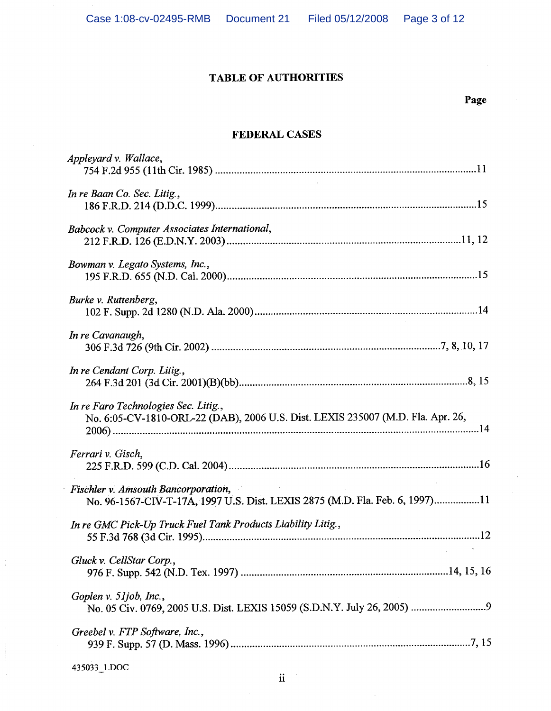# **TABLE OF AUTHORITIES**

# Page

# **FEDERAL CASES**

| Appleyard v. Wallace,                                                                                                   |
|-------------------------------------------------------------------------------------------------------------------------|
| In re Baan Co. Sec. Litig.,                                                                                             |
| Babcock v. Computer Associates International,                                                                           |
| Bowman v. Legato Systems, Inc.,                                                                                         |
| Burke v. Ruttenberg,                                                                                                    |
| In re Cavanaugh,                                                                                                        |
| In re Cendant Corp. Litig.,                                                                                             |
| In re Faro Technologies Sec. Litig.,<br>No. 6:05-CV-1810-ORL-22 (DAB), 2006 U.S. Dist. LEXIS 235007 (M.D. Fla. Apr. 26, |
| Ferrari v. Gisch,                                                                                                       |
| Fischler v. Amsouth Bancorporation,<br>No. 96-1567-CIV-T-17A, 1997 U.S. Dist. LEXIS 2875 (M.D. Fla. Feb. 6, 1997)11     |
| In re GMC Pick-Up Truck Fuel Tank Products Liability Litig.,                                                            |
| Gluck v. CellStar Corp.,                                                                                                |
| Goplen v. 51job, Inc.,                                                                                                  |
| Greebel v. FTP Software, Inc.,                                                                                          |
|                                                                                                                         |

435033\_1.DOC

 $\frac{1}{2}$ 

 $\bar{z}$ 

 $\begin{array}{c} \begin{array}{c} \begin{array}{c} \begin{array}{c} \end{array} \\ \end{array} \\ \begin{array}{c} \end{array} \end{array} \end{array}$ 

 $\hat{\gamma}$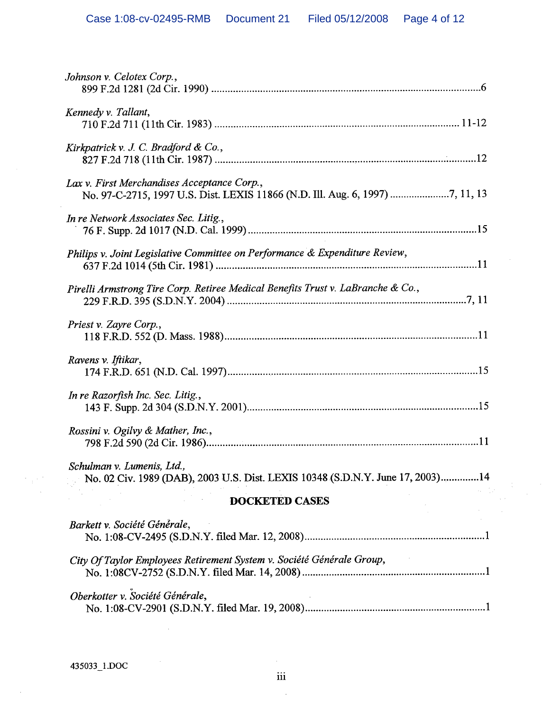| Johnson v. Celotex Corp.,                                                                                                    |
|------------------------------------------------------------------------------------------------------------------------------|
| Kennedy v. Tallant,                                                                                                          |
| Kirkpatrick v. J. C. Bradford & Co.,                                                                                         |
| Lax v. First Merchandises Acceptance Corp.,<br>No. 97-C-2715, 1997 U.S. Dist. LEXIS 11866 (N.D. Ill. Aug. 6, 1997) 7, 11, 13 |
| In re Network Associates Sec. Litig.,                                                                                        |
| Philips v. Joint Legislative Committee on Performance & Expenditure Review,                                                  |
| Pirelli Armstrong Tire Corp. Retiree Medical Benefits Trust v. LaBranche & Co.,                                              |
| Priest v. Zayre Corp.,                                                                                                       |
| Ravens v. Iftikar,                                                                                                           |
| In re Razorfish Inc. Sec. Litig.,                                                                                            |
| Rossini v. Ogilvy & Mather, Inc.,                                                                                            |
| Schulman v. Lumenis, Ltd.,<br>No. 02 Civ. 1989 (DAB), 2003 U.S. Dist. LEXIS 10348 (S.D.N.Y. June 17, 2003)14                 |
| <b>DOCKETED CASES</b>                                                                                                        |
| Barkett v. Société Générale,                                                                                                 |
| City Of Taylor Employees Retirement System v. Société Générale Group,                                                        |
| Oberkotter v. Société Générale,                                                                                              |

 $\label{eq:3.1} \frac{1}{\sqrt{2}}\sum_{i=1}^n\frac{1}{\sqrt{2}}\left(\frac{1}{\sqrt{2}}\right)^2\left(\frac{1}{\sqrt{2}}\right)^2.$ 

 $\frac{1}{2}$  .

 $\mathcal{F}_{\text{eff}} \in \mathcal{F}$ 

 $\bar{z}$ 

 $\sim$ 

 $\mathcal{L}_{\mathcal{A}}$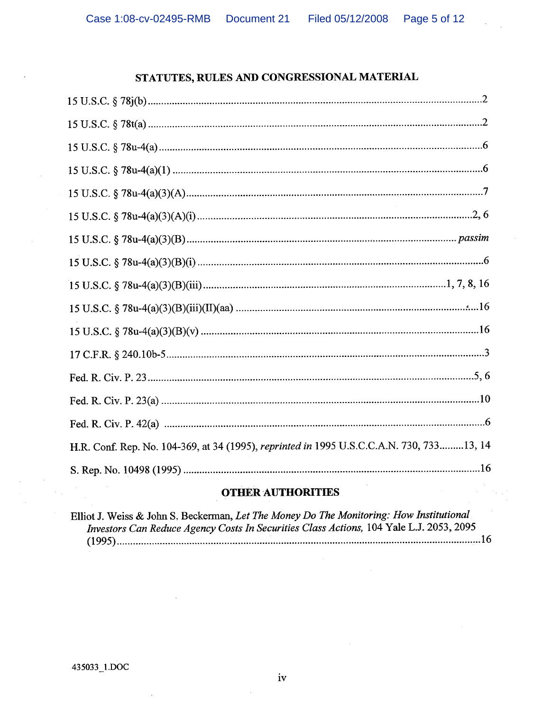## STATUTES, RULES AND CONGRESSIONAL MATERIAL

| H.R. Conf. Rep. No. 104-369, at 34 (1995), reprinted in 1995 U.S.C.C.A.N. 730, 73313, 14 |
|------------------------------------------------------------------------------------------|
|                                                                                          |
|                                                                                          |

## **OTHER AUTHORITIES**

Elliot J. Weiss & John S. Beckerman, Let The Money Do The Monitoring: How Institutional Investors Can Reduce Agency Costs In Securities Class Actions, 104 Yale L.J. 2053, 2095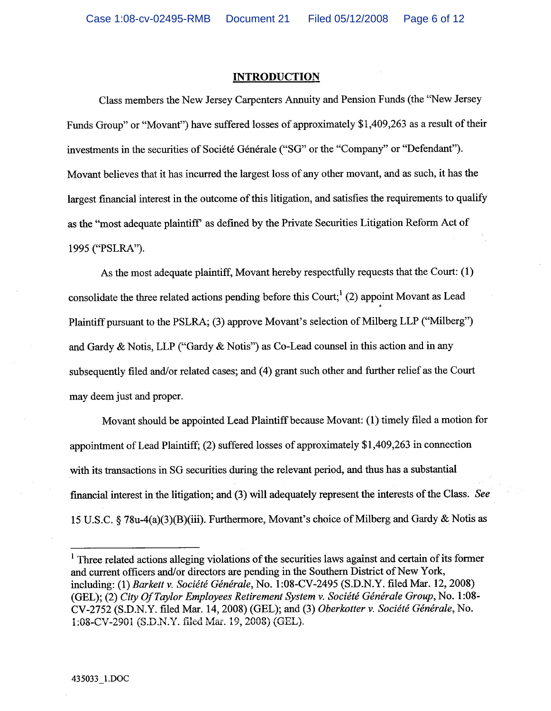### **INTRODUCTION**

Class members the New Jersey Carpenters Annuity and Pension Funds (the "New Jersey Funds Group" or "Movant") have suffered losses of approximately \$1,409,263 as a result of their investments in the securities of Société Générale ("SG" or the "Company" or "Defendant"). Movant believes that it has incurred the largest loss of any other movant, and as such, it has the largest financial interest in the outcome of this litigation, and satisfies the requirements to qualify as the "most adequate plaintiff" as defined by the Private Securities Litigation Reform Act of 1995 ("PSLRA").

As the most adequate plaintiff, Movant hereby respectfully requests that the Court: (1) consolidate the three related actions pending before this Court;  $(2)$  appoint Movant as Lead Plaintiff pursuant to the PSLRA; (3) approve Movant's selection of Milberg LLP ("Milberg") and Gardy & Notis, LLP ("Gardy & Notis") as Co-Lead counsel in this action and in any subsequently filed and/or related cases; and (4) grant such other and further relief as the Court may deem just and proper.

Movant should be appointed Lead Plaintiff because Movant: (1) timely filed a motion for appointment of Lead Plaintiff; (2) suffered losses of approximately \$1,409,263 in connection with its transactions in SG securities during the relevant period, and thus has a substantial financial interest in the litigation; and (3) will adequately represent the interests of the Class. See 15 U.S.C. § 78u-4(a)(3)(B)(iii). Furthermore, Movant's choice of Milberg and Gardy & Notis as

<sup>&</sup>lt;sup>1</sup> Three related actions alleging violations of the securities laws against and certain of its former and current officers and/or directors are pending in the Southern District of New York, including: (1) Barkett v. Société Générale, No. 1:08-CV-2495 (S.D.N.Y. filed Mar. 12, 2008) (GEL); (2) City Of Taylor Employees Retirement System v. Société Générale Group, No. 1:08-CV-2752 (S.D.N.Y. filed Mar. 14, 2008) (GEL); and (3) Oberkotter v. Société Générale, No. 1:08-CV-2901 (S.D.N.Y. filed Mar. 19, 2008) (GEL).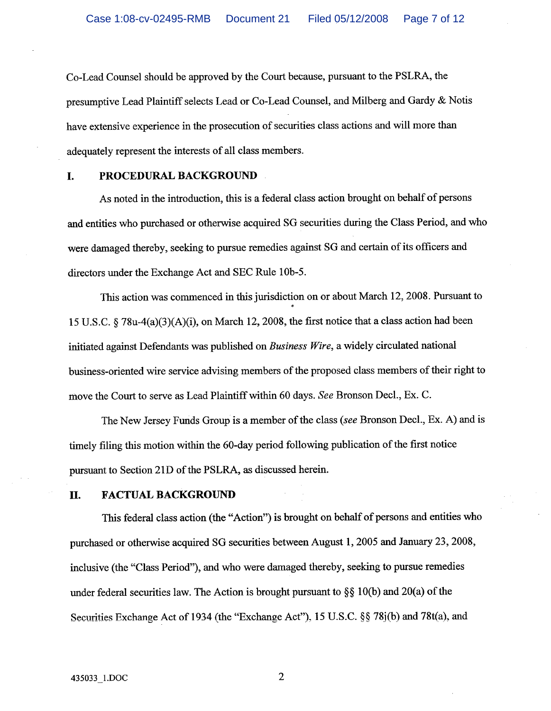Co-Lead Counsel should be approved by the Court because, pursuant to the PSLRA, the presumptive Lead Plaintiff selects Lead or Co-Lead Counsel, and Milberg and Gardy & Notis have extensive experience in the prosecution of securities class actions and will more than adequately represent the interests of all class members.

#### I. PROCEDURAL BACKGROUND

As noted in the introduction, this is a federal class action brought on behalf of persons and entities who purchased or otherwise acquired SG securities during the Class Period, and who were damaged thereby, seeking to pursue remedies against SG and certain of its officers and directors under the Exchange Act and SEC Rule 10b-5.

This action was commenced in this jurisdiction on or about March 12, 2008. Pursuant to 15 U.S.C.  $\frac{5}{2}$  78u-4(a)(3)(A)(i), on March 12, 2008, the first notice that a class action had been initiated against Defendants was published on Business Wire, a widely circulated national business-oriented wire service advising members of the proposed class members of their right to move the Court to serve as Lead Plaintiff within 60 days. See Bronson Decl., Ex. C.

The New Jersey Funds Group is a member of the class (see Bronson Decl., Ex. A) and is timely filing this motion within the 60-day period following publication of the first notice pursuant to Section 21D of the PSLRA, as discussed herein.

#### П. **FACTUAL BACKGROUND**

This federal class action (the "Action") is brought on behalf of persons and entities who purchased or otherwise acquired SG securities between August 1, 2005 and January 23, 2008, inclusive (the "Class Period"), and who were damaged thereby, seeking to pursue remedies under federal securities law. The Action is brought pursuant to  $\S$ § 10(b) and 20(a) of the Securities Exchange Act of 1934 (the "Exchange Act"), 15 U.S.C. §§ 78 $(ib)$  and 78t(a), and

 $\overline{2}$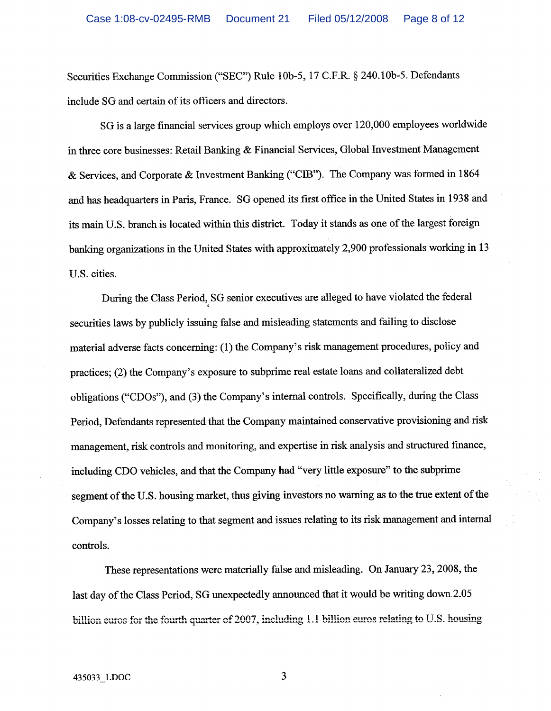Securities Exchange Commission ("SEC") Rule 10b-5, 17 C.F.R. § 240.10b-5. Defendants include SG and certain of its officers and directors.

SG is a large financial services group which employs over 120,000 employees worldwide in three core businesses: Retail Banking & Financial Services, Global Investment Management & Services, and Corporate & Investment Banking ("CIB"). The Company was formed in 1864 and has headquarters in Paris, France. SG opened its first office in the United States in 1938 and its main U.S. branch is located within this district. Today it stands as one of the largest foreign banking organizations in the United States with approximately 2,900 professionals working in 13 U.S. cities.

During the Class Period, SG senior executives are alleged to have violated the federal securities laws by publicly issuing false and misleading statements and failing to disclose material adverse facts concerning: (1) the Company's risk management procedures, policy and practices; (2) the Company's exposure to subprime real estate loans and collateralized debt obligations ("CDOs"), and (3) the Company's internal controls. Specifically, during the Class Period, Defendants represented that the Company maintained conservative provisioning and risk management, risk controls and monitoring, and expertise in risk analysis and structured finance, including CDO vehicles, and that the Company had "very little exposure" to the subprime segment of the U.S. housing market, thus giving investors no warning as to the true extent of the Company's losses relating to that segment and issues relating to its risk management and internal controls.

These representations were materially false and misleading. On January 23, 2008, the last day of the Class Period, SG unexpectedly announced that it would be writing down 2.05 billion euros for the fourth quarter of 2007, including 1.1 billion euros relating to U.S. housing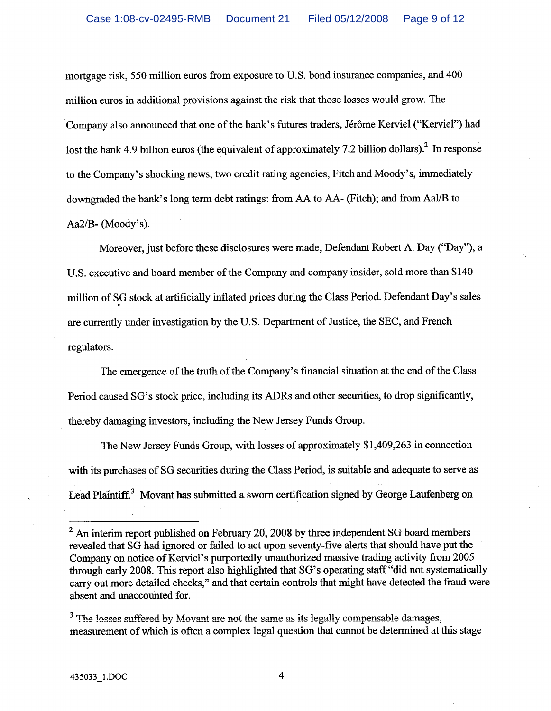mortgage risk, 550 million euros from exposure to U.S. bond insurance companies, and 400 million euros in additional provisions against the risk that those losses would grow. The Company also announced that one of the bank's futures traders, Jérôme Kerviel ("Kerviel") had lost the bank 4.9 billion euros (the equivalent of approximately 7.2 billion dollars).<sup>2</sup> In response to the Company's shocking news, two credit rating agencies, Fitch and Moody's, immediately downgraded the bank's long term debt ratings: from AA to AA- (Fitch); and from Aal/B to Aa2/B- (Moody's).

Moreover, just before these disclosures were made, Defendant Robert A. Day ("Day"), a U.S. executive and board member of the Company and company insider, sold more than \$140 million of SG stock at artificially inflated prices during the Class Period. Defendant Day's sales are currently under investigation by the U.S. Department of Justice, the SEC, and French regulators.

The emergence of the truth of the Company's financial situation at the end of the Class Period caused SG's stock price, including its ADRs and other securities, to drop significantly, thereby damaging investors, including the New Jersey Funds Group.

The New Jersey Funds Group, with losses of approximately \$1,409,263 in connection with its purchases of SG securities during the Class Period, is suitable and adequate to serve as Lead Plaintiff.<sup>3</sup> Movant has submitted a sworn certification signed by George Laufenberg on

 $\overline{4}$ 

 $2$  An interim report published on February 20, 2008 by three independent SG board members revealed that SG had ignored or failed to act upon seventy-five alerts that should have put the Company on notice of Kerviel's purportedly unauthorized massive trading activity from 2005 through early 2008. This report also highlighted that SG's operating staff "did not systematically carry out more detailed checks," and that certain controls that might have detected the fraud were absent and unaccounted for.

<sup>&</sup>lt;sup>3</sup> The losses suffered by Movant are not the same as its legally compensable damages, measurement of which is often a complex legal question that cannot be determined at this stage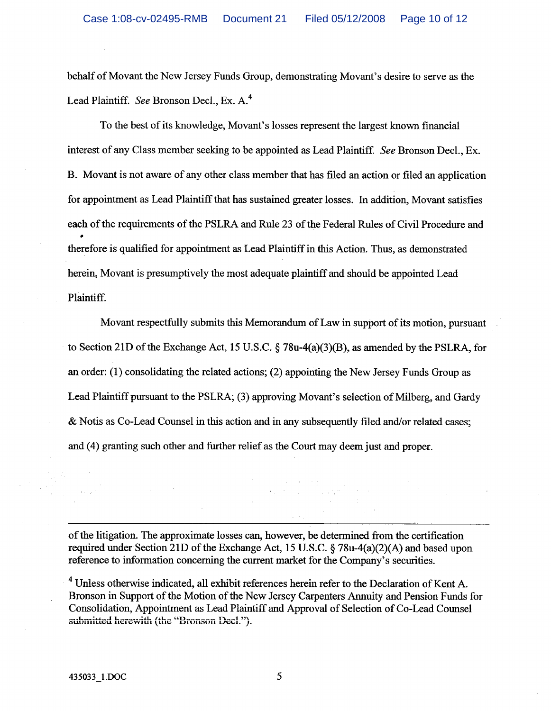behalf of Movant the New Jersey Funds Group, demonstrating Movant's desire to serve as the Lead Plaintiff. See Bronson Decl., Ex. A.<sup>4</sup>

To the best of its knowledge, Movant's losses represent the largest known financial interest of any Class member seeking to be appointed as Lead Plaintiff. See Bronson Decl., Ex. B. Movant is not aware of any other class member that has filed an action or filed an application for appointment as Lead Plaintiff that has sustained greater losses. In addition, Movant satisfies each of the requirements of the PSLRA and Rule 23 of the Federal Rules of Civil Procedure and therefore is qualified for appointment as Lead Plaintiff in this Action. Thus, as demonstrated herein, Movant is presumptively the most adequate plaintiff and should be appointed Lead Plaintiff.

Movant respectfully submits this Memorandum of Law in support of its motion, pursuant to Section 21D of the Exchange Act, 15 U.S.C.  $\S$  78u-4(a)(3)(B), as amended by the PSLRA, for an order:  $(1)$  consolidating the related actions;  $(2)$  appointing the New Jersey Funds Group as Lead Plaintiff pursuant to the PSLRA; (3) approving Movant's selection of Milberg, and Gardy & Notis as Co-Lead Counsel in this action and in any subsequently filed and/or related cases; and (4) granting such other and further relief as the Court may deem just and proper.

of the litigation. The approximate losses can, however, be determined from the certification required under Section 21D of the Exchange Act, 15 U.S.C. § 78u-4(a)(2)(A) and based upon reference to information concerning the current market for the Company's securities.

<sup>4</sup> Unless otherwise indicated, all exhibit references herein refer to the Declaration of Kent A. Bronson in Support of the Motion of the New Jersey Carpenters Annuity and Pension Funds for Consolidation, Appointment as Lead Plaintiff and Approval of Selection of Co-Lead Counsel submitted herewith (the "Bronson Decl.").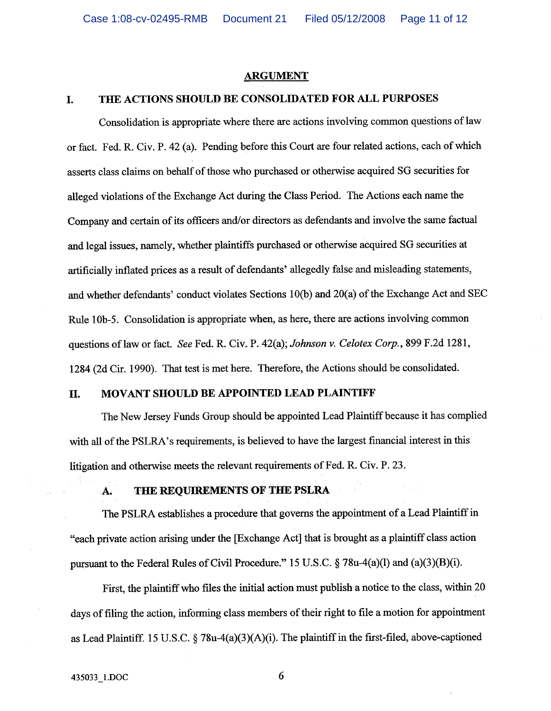### **ARGUMENT**

#### L. THE ACTIONS SHOULD BE CONSOLIDATED FOR ALL PURPOSES

Consolidation is appropriate where there are actions involving common questions of law or fact. Fed. R. Civ. P. 42 (a). Pending before this Court are four related actions, each of which asserts class claims on behalf of those who purchased or otherwise acquired SG securities for alleged violations of the Exchange Act during the Class Period. The Actions each name the Company and certain of its officers and/or directors as defendants and involve the same factual and legal issues, namely, whether plaintiffs purchased or otherwise acquired SG securities at artificially inflated prices as a result of defendants' allegedly false and misleading statements, and whether defendants' conduct violates Sections 10(b) and 20(a) of the Exchange Act and SEC Rule 10b-5. Consolidation is appropriate when, as here, there are actions involving common questions of law or fact. See Fed. R. Civ. P. 42(a); Johnson v. Celotex Corp., 899 F.2d 1281, 1284 (2d Cir. 1990). That test is met here. Therefore, the Actions should be consolidated.

#### MOVANT SHOULD BE APPOINTED LEAD PLAINTIFF II.

The New Jersey Funds Group should be appointed Lead Plaintiff because it has complied with all of the PSLRA's requirements, is believed to have the largest financial interest in this litigation and otherwise meets the relevant requirements of Fed. R. Civ. P. 23.

#### THE REQUIREMENTS OF THE PSLRA A.

The PSLRA establishes a procedure that governs the appointment of a Lead Plaintiff in "each private action arising under the [Exchange Act] that is brought as a plaintiff class action pursuant to the Federal Rules of Civil Procedure." 15 U.S.C.  $\S$  78u-4(a)(l) and (a)(3)(B)(i).

First, the plaintiff who files the initial action must publish a notice to the class, within 20 days of filing the action, informing class members of their right to file a motion for appointment as Lead Plaintiff. 15 U.S.C. § 78u-4(a)(3)(A)(i). The plaintiff in the first-filed, above-captioned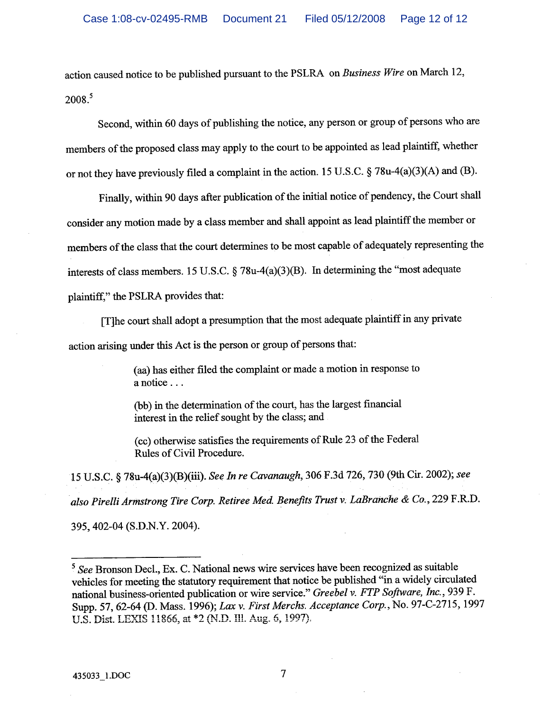action caused notice to be published pursuant to the PSLRA on Business Wire on March 12,  $2008.<sup>5</sup>$ 

Second, within 60 days of publishing the notice, any person or group of persons who are members of the proposed class may apply to the court to be appointed as lead plaintiff, whether or not they have previously filed a complaint in the action. 15 U.S.C. § 78u-4(a)(3)(A) and (B).

Finally, within 90 days after publication of the initial notice of pendency, the Court shall consider any motion made by a class member and shall appoint as lead plaintiff the member or members of the class that the court determines to be most capable of adequately representing the interests of class members. 15 U.S.C. § 78u-4(a)(3)(B). In determining the "most adequate plaintiff," the PSLRA provides that:

[T] he court shall adopt a presumption that the most adequate plaintiff in any private action arising under this Act is the person or group of persons that:

> (aa) has either filed the complaint or made a motion in response to a notice . . .

(bb) in the determination of the court, has the largest financial interest in the relief sought by the class; and

(cc) otherwise satisfies the requirements of Rule 23 of the Federal Rules of Civil Procedure.

15 U.S.C. § 78u-4(a)(3)(B)(iii). See In re Cavanaugh, 306 F.3d 726, 730 (9th Cir. 2002); see also Pirelli Armstrong Tire Corp. Retiree Med. Benefits Trust v. LaBranche & Co., 229 F.R.D.

395, 402-04 (S.D.N.Y. 2004).

 $\overline{7}$ 

<sup>&</sup>lt;sup>5</sup> See Bronson Decl., Ex. C. National news wire services have been recognized as suitable vehicles for meeting the statutory requirement that notice be published "in a widely circulated national business-oriented publication or wire service." Greebel v. FTP Software, Inc., 939 F. Supp. 57, 62-64 (D. Mass. 1996); Lax v. First Merchs. Acceptance Corp., No. 97-C-2715, 1997 U.S. Dist. LEXIS 11866, at \*2 (N.D. Ill. Aug. 6, 1997).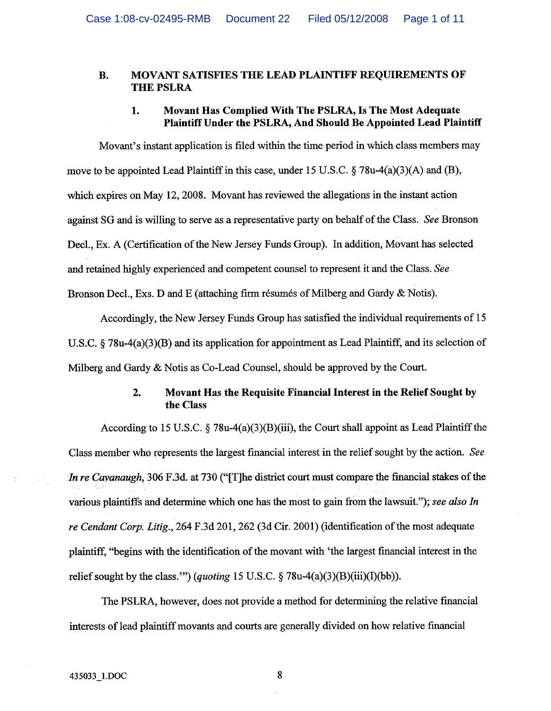### MOVANT SATISFIES THE LEAD PLAINTIFF REQUIREMENTS OF  $\mathbf{R}$ . **THE PSLRA**

### Movant Has Complied With The PSLRA, Is The Most Adequate 1. Plaintiff Under the PSLRA, And Should Be Appointed Lead Plaintiff

Movant's instant application is filed within the time period in which class members may move to be appointed Lead Plaintiff in this case, under 15 U.S.C.  $\S$  78u-4(a)(3)(A) and (B), which expires on May 12, 2008. Movant has reviewed the allegations in the instant action against SG and is willing to serve as a representative party on behalf of the Class. See Bronson Decl., Ex. A (Certification of the New Jersey Funds Group). In addition, Movant has selected and retained highly experienced and competent counsel to represent it and the Class. See Bronson Decl., Exs. D and E (attaching firm résumés of Milberg and Gardy & Notis).

Accordingly, the New Jersey Funds Group has satisfied the individual requirements of 15 U.S.C.  $\S$  78u-4(a)(3)(B) and its application for appointment as Lead Plaintiff, and its selection of Milberg and Gardy  $\&$  Notis as Co-Lead Counsel, should be approved by the Court.

### Movant Has the Requisite Financial Interest in the Relief Sought by  $2.$ the Class

According to 15 U.S.C.  $\S$  78u-4(a)(3)(B)(iii), the Court shall appoint as Lead Plaintiff the Class member who represents the largest financial interest in the relief sought by the action. See In re Cavanaugh, 306 F.3d. at 730 ("[T] he district court must compare the financial stakes of the various plaintiffs and determine which one has the most to gain from the lawsuit."); see also In re Cendant Corp. Litig., 264 F.3d 201, 262 (3d Cir. 2001) (identification of the most adequate plaintiff, "begins with the identification of the movant with 'the largest financial interest in the relief sought by the class."") (quoting 15 U.S.C.  $\S$  78u-4(a)(3)(B)(iii)(I)(bb)).

The PSLRA, however, does not provide a method for determining the relative financial interests of lead plaintiff movants and courts are generally divided on how relative financial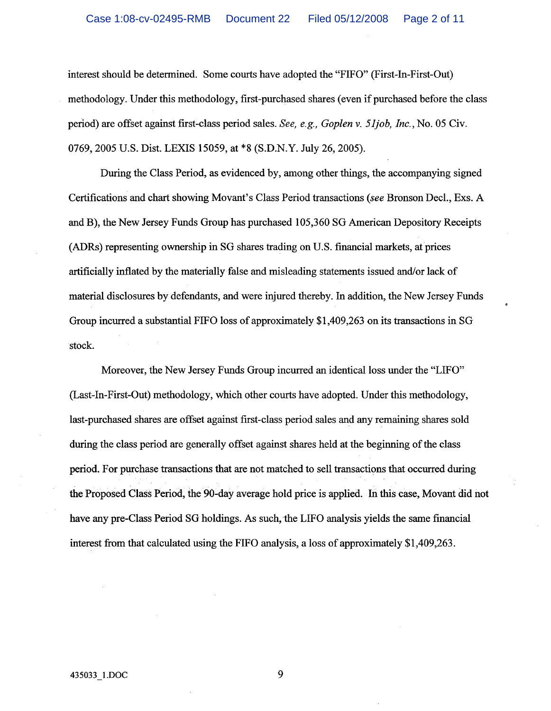interest should be determined. Some courts have adopted the "FIFO" (First-In-First-Out) methodology. Under this methodology, first-purchased shares (even if purchased before the class period) are offset against first-class period sales. See, e.g., Goplen v. 51job, Inc., No. 05 Civ. 0769, 2005 U.S. Dist. LEXIS 15059, at \*8 (S.D.N.Y. July 26, 2005).

During the Class Period, as evidenced by, among other things, the accompanying signed Certifications and chart showing Movant's Class Period transactions (see Bronson Decl., Exs. A and B), the New Jersey Funds Group has purchased 105,360 SG American Depository Receipts (ADRs) representing ownership in SG shares trading on U.S. financial markets, at prices artificially inflated by the materially false and misleading statements issued and/or lack of material disclosures by defendants, and were injured thereby. In addition, the New Jersey Funds Group incurred a substantial FIFO loss of approximately \$1,409.263 on its transactions in SG stock.

Moreover, the New Jersey Funds Group incurred an identical loss under the "LIFO" (Last-In-First-Out) methodology, which other courts have adopted. Under this methodology, last-purchased shares are offset against first-class period sales and any remaining shares sold during the class period are generally offset against shares held at the beginning of the class period. For purchase transactions that are not matched to sell transactions that occurred during the Proposed Class Period, the 90-day average hold price is applied. In this case, Movant did not have any pre-Class Period SG holdings. As such, the LIFO analysis yields the same financial interest from that calculated using the FIFO analysis, a loss of approximately \$1,409,263.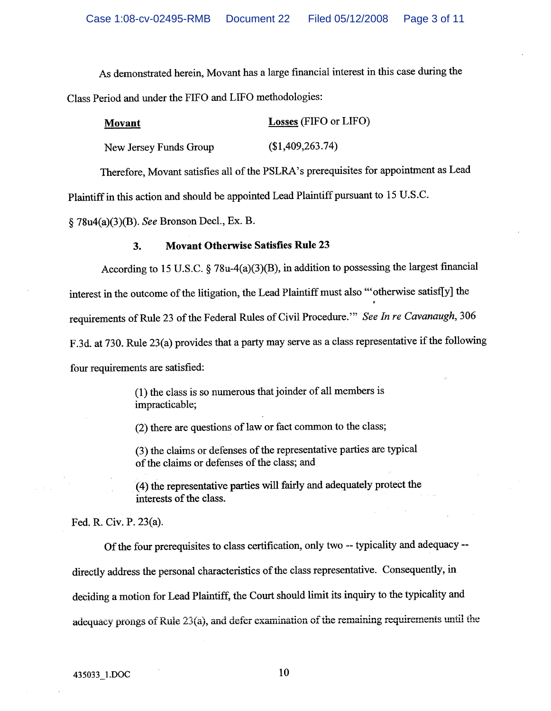As demonstrated herein, Movant has a large financial interest in this case during the Class Period and under the FIFO and LIFO methodologies:

| <b>Movant</b>          | <b>Losses</b> (FIFO or LIFO) |
|------------------------|------------------------------|
| New Jersey Funds Group | (\$1,409,263.74)             |

Therefore, Movant satisfies all of the PSLRA's prerequisites for appointment as Lead

Plaintiff in this action and should be appointed Lead Plaintiff pursuant to 15 U.S.C.

§ 78u4(a)(3)(B). See Bronson Decl., Ex. B.

#### **Movant Otherwise Satisfies Rule 23**  $3.$

According to 15 U.S.C. § 78u-4(a)(3)(B), in addition to possessing the largest financial interest in the outcome of the litigation, the Lead Plaintiff must also "otherwise satisf[y] the requirements of Rule 23 of the Federal Rules of Civil Procedure." See In re Cavanaugh, 306 F.3d. at 730. Rule 23(a) provides that a party may serve as a class representative if the following four requirements are satisfied:

> (1) the class is so numerous that joinder of all members is impracticable;

(2) there are questions of law or fact common to the class;

(3) the claims or defenses of the representative parties are typical of the claims or defenses of the class; and

(4) the representative parties will fairly and adequately protect the interests of the class.

Fed. R. Civ. P. 23(a).

Of the four prerequisites to class certification, only two -- typicality and adequacy -directly address the personal characteristics of the class representative. Consequently, in deciding a motion for Lead Plaintiff, the Court should limit its inquiry to the typicality and adequacy prongs of Rule 23(a), and defer examination of the remaining requirements until the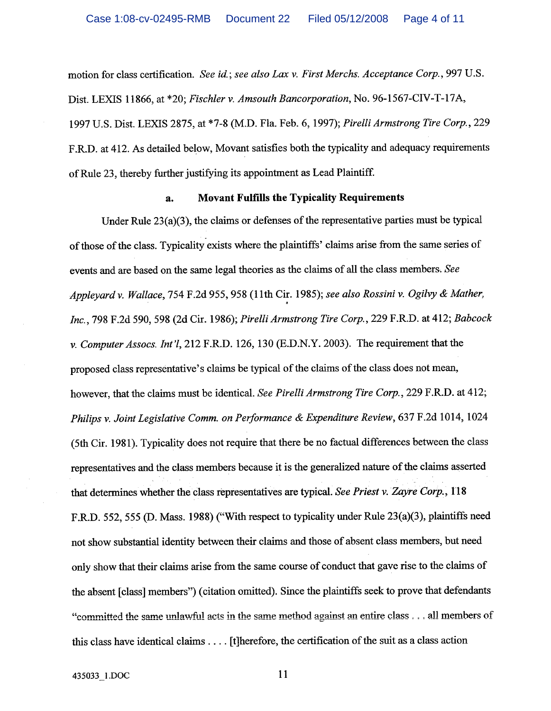motion for class certification. See id.; see also Lax v. First Merchs. Acceptance Corp., 997 U.S. Dist. LEXIS 11866, at \*20; Fischler v. Amsouth Bancorporation, No. 96-1567-CIV-T-17A, 1997 U.S. Dist. LEXIS 2875, at \*7-8 (M.D. Fla. Feb. 6, 1997); Pirelli Armstrong Tire Corp., 229 F.R.D. at 412. As detailed below, Movant satisfies both the typicality and adequacy requirements of Rule 23, thereby further justifying its appointment as Lead Plaintiff.

#### **Movant Fulfills the Typicality Requirements**  $\mathbf{a}$

Under Rule  $23(a)(3)$ , the claims or defenses of the representative parties must be typical of those of the class. Typicality exists where the plaintiffs' claims arise from the same series of events and are based on the same legal theories as the claims of all the class members. See Applevard v. Wallace, 754 F.2d 955, 958 (11th Cir. 1985); see also Rossini v. Ogilvy & Mather, Inc., 798 F.2d 590, 598 (2d Cir. 1986); Pirelli Armstrong Tire Corp., 229 F.R.D. at 412; Babcock v. Computer Assocs. Int'l, 212 F.R.D. 126, 130 (E.D.N.Y. 2003). The requirement that the proposed class representative's claims be typical of the claims of the class does not mean, however, that the claims must be identical. See Pirelli Armstrong Tire Corp., 229 F.R.D. at 412; Philips v. Joint Legislative Comm. on Performance & Expenditure Review, 637 F.2d 1014, 1024 (5th Cir. 1981). Typicality does not require that there be no factual differences between the class representatives and the class members because it is the generalized nature of the claims asserted that determines whether the class representatives are typical. See Priest v. Zayre Corp., 118 F.R.D. 552, 555 (D. Mass. 1988) ("With respect to typicality under Rule 23(a)(3), plaintiffs need not show substantial identity between their claims and those of absent class members, but need only show that their claims arise from the same course of conduct that gave rise to the claims of the absent [class] members") (citation omitted). Since the plaintiffs seek to prove that defendants "committed the same unlawful acts in the same method against an entire class . . . all members of this class have identical claims . . . . [t] herefore, the certification of the suit as a class action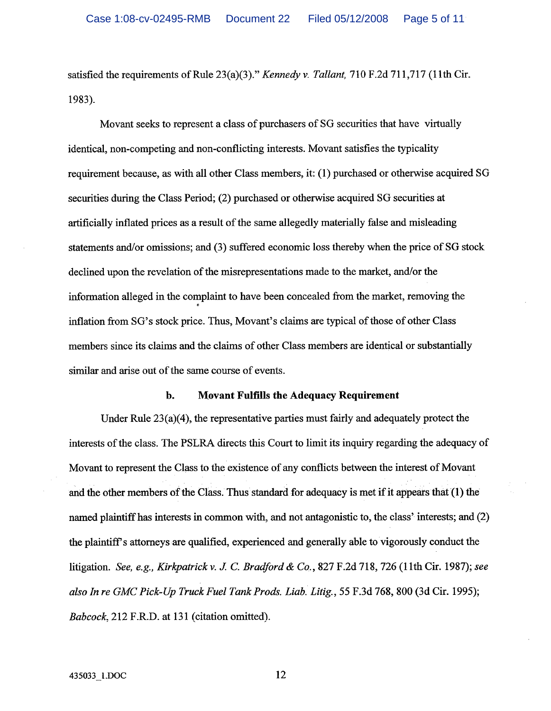satisfied the requirements of Rule 23(a)(3)." Kennedy v. Tallant, 710 F.2d 711,717 (11th Cir. 1983).

Movant seeks to represent a class of purchasers of SG securities that have virtually identical, non-competing and non-conflicting interests. Movant satisfies the typicality requirement because, as with all other Class members, it: (1) purchased or otherwise acquired SG securities during the Class Period; (2) purchased or otherwise acquired SG securities at artificially inflated prices as a result of the same allegedly materially false and misleading statements and/or omissions; and (3) suffered economic loss thereby when the price of SG stock declined upon the revelation of the misrepresentations made to the market, and/or the information alleged in the complaint to have been concealed from the market, removing the inflation from SG's stock price. Thus, Movant's claims are typical of those of other Class members since its claims and the claims of other Class members are identical or substantially similar and arise out of the same course of events.

#### **Movant Fulfills the Adequacy Requirement**  $\mathbf b$ .

Under Rule  $23(a)(4)$ , the representative parties must fairly and adequately protect the interests of the class. The PSLRA directs this Court to limit its inquiry regarding the adequacy of Movant to represent the Class to the existence of any conflicts between the interest of Movant and the other members of the Class. Thus standard for adequacy is met if it appears that (1) the named plaintiff has interests in common with, and not antagonistic to, the class' interests; and (2) the plaintiff's attorneys are qualified, experienced and generally able to vigorously conduct the litigation. See, e.g., Kirkpatrick v. J. C. Bradford & Co., 827 F.2d 718, 726 (11th Cir. 1987); see also In re GMC Pick-Up Truck Fuel Tank Prods. Liab. Litig., 55 F.3d 768, 800 (3d Cir. 1995); Babcock, 212 F.R.D. at 131 (citation omitted).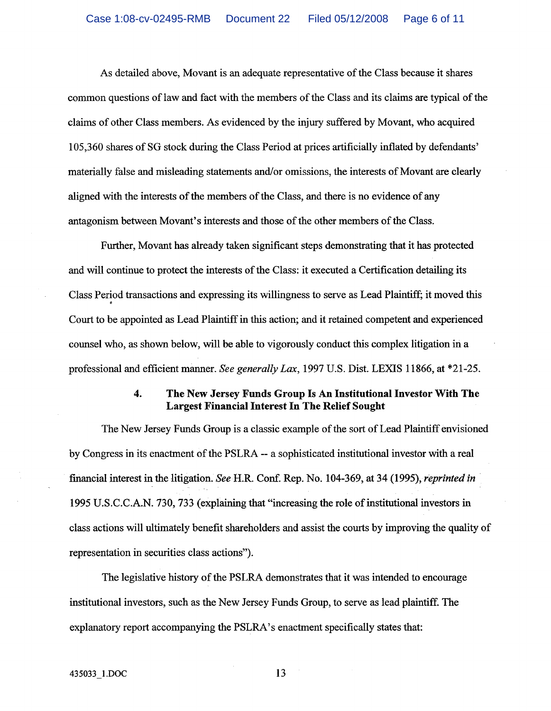As detailed above, Movant is an adequate representative of the Class because it shares common questions of law and fact with the members of the Class and its claims are typical of the claims of other Class members. As evidenced by the injury suffered by Movant, who acquired 105,360 shares of SG stock during the Class Period at prices artificially inflated by defendants' materially false and misleading statements and/or omissions, the interests of Movant are clearly aligned with the interests of the members of the Class, and there is no evidence of any antagonism between Movant's interests and those of the other members of the Class.

Further, Movant has already taken significant steps demonstrating that it has protected and will continue to protect the interests of the Class: it executed a Certification detailing its Class Period transactions and expressing its willingness to serve as Lead Plaintiff; it moved this Court to be appointed as Lead Plaintiff in this action; and it retained competent and experienced counsel who, as shown below, will be able to vigorously conduct this complex litigation in a professional and efficient manner. See generally Lax, 1997 U.S. Dist. LEXIS 11866, at \*21-25.

### $\ddot{a}$ . The New Jersey Funds Group Is An Institutional Investor With The **Largest Financial Interest In The Relief Sought**

The New Jersey Funds Group is a classic example of the sort of Lead Plaintiff envisioned by Congress in its enactment of the PSLRA -- a sophisticated institutional investor with a real financial interest in the litigation. See H.R. Conf. Rep. No. 104-369, at 34 (1995), reprinted in 1995 U.S.C.C.A.N. 730, 733 (explaining that "increasing the role of institutional investors in class actions will ultimately benefit shareholders and assist the courts by improving the quality of representation in securities class actions").

The legislative history of the PSLRA demonstrates that it was intended to encourage institutional investors, such as the New Jersey Funds Group, to serve as lead plaintiff. The explanatory report accompanying the PSLRA's enactment specifically states that: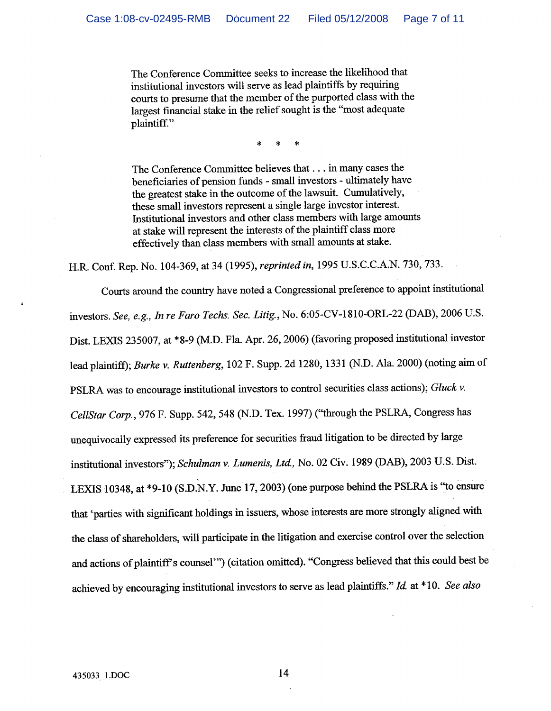The Conference Committee seeks to increase the likelihood that institutional investors will serve as lead plaintiffs by requiring courts to presume that the member of the purported class with the largest financial stake in the relief sought is the "most adequate plaintiff."

The Conference Committee believes that . . . in many cases the beneficiaries of pension funds - small investors - ultimately have the greatest stake in the outcome of the lawsuit. Cumulatively, these small investors represent a single large investor interest. Institutional investors and other class members with large amounts at stake will represent the interests of the plaintiff class more effectively than class members with small amounts at stake.

H.R. Conf. Rep. No. 104-369, at 34 (1995), reprinted in, 1995 U.S.C.C.A.N. 730, 733.

Courts around the country have noted a Congressional preference to appoint institutional investors. See, e.g., In re Faro Techs. Sec. Litig., No. 6:05-CV-1810-ORL-22 (DAB), 2006 U.S. Dist. LEXIS 235007, at \*8-9 (M.D. Fla. Apr. 26, 2006) (favoring proposed institutional investor lead plaintiff); Burke v. Ruttenberg, 102 F. Supp. 2d 1280, 1331 (N.D. Ala. 2000) (noting aim of PSLRA was to encourage institutional investors to control securities class actions); Gluck v. CellStar Corp., 976 F. Supp. 542, 548 (N.D. Tex. 1997) ("through the PSLRA, Congress has unequivocally expressed its preference for securities fraud litigation to be directed by large institutional investors"); Schulman v. Lumenis, Ltd., No. 02 Civ. 1989 (DAB), 2003 U.S. Dist. LEXIS 10348, at \*9-10 (S.D.N.Y. June 17, 2003) (one purpose behind the PSLRA is "to ensure that 'parties with significant holdings in issuers, whose interests are more strongly aligned with the class of shareholders, will participate in the litigation and exercise control over the selection and actions of plaintiff's counsel'") (citation omitted). "Congress believed that this could best be achieved by encouraging institutional investors to serve as lead plaintiffs." Id. at \*10. See also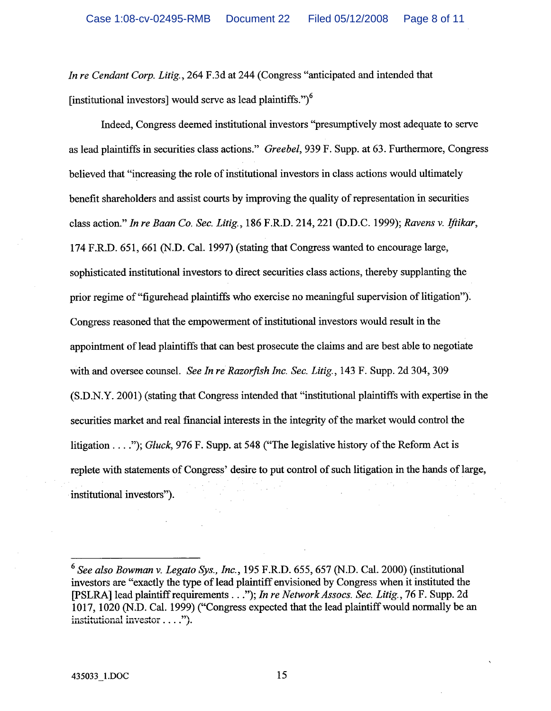In re Cendant Corp. Litig., 264 F.3d at 244 (Congress "anticipated and intended that [institutional investors] would serve as lead plaintiffs.")<sup>6</sup>

Indeed, Congress deemed institutional investors "presumptively most adequate to serve as lead plaintiffs in securities class actions." Greebel, 939 F. Supp. at 63. Furthermore, Congress believed that "increasing the role of institutional investors in class actions would ultimately benefit shareholders and assist courts by improving the quality of representation in securities class action." In re Baan Co. Sec. Litig., 186 F.R.D. 214, 221 (D.D.C. 1999); Ravens v. Iftikar, 174 F.R.D. 651, 661 (N.D. Cal. 1997) (stating that Congress wanted to encourage large, sophisticated institutional investors to direct securities class actions, thereby supplanting the prior regime of "figurehead plaintiffs who exercise no meaningful supervision of litigation"). Congress reasoned that the empowerment of institutional investors would result in the appointment of lead plaintiffs that can best prosecute the claims and are best able to negotiate with and oversee counsel. See In re Razorfish Inc. Sec. Litig., 143 F. Supp. 2d 304, 309 (S.D.N.Y. 2001) (stating that Congress intended that "institutional plaintiffs with expertise in the securities market and real financial interests in the integrity of the market would control the litigation . . . ."); Gluck, 976 F. Supp. at 548 ("The legislative history of the Reform Act is replete with statements of Congress' desire to put control of such litigation in the hands of large, institutional investors").

 $6$  See also Bowman v. Legato Sys., Inc., 195 F.R.D. 655, 657 (N.D. Cal. 2000) (institutional investors are "exactly the type of lead plaintiff envisioned by Congress when it instituted the [PSLRA] lead plaintiff requirements . . ."); In re Network Assocs. Sec. Litig., 76 F. Supp. 2d 1017, 1020 (N.D. Cal. 1999) ("Congress expected that the lead plaintiff would normally be an institutional investor . . . .").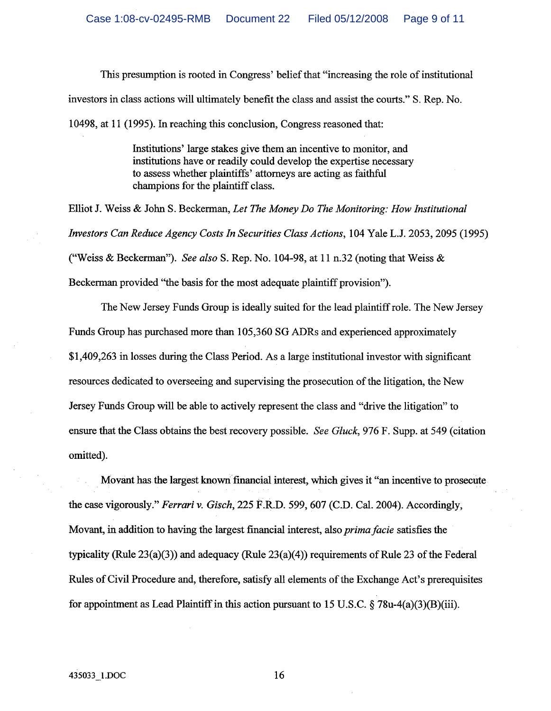This presumption is rooted in Congress' belief that "increasing the role of institutional investors in class actions will ultimately benefit the class and assist the courts." S. Rep. No. 10498, at 11 (1995). In reaching this conclusion, Congress reasoned that:

> Institutions' large stakes give them an incentive to monitor, and institutions have or readily could develop the expertise necessary to assess whether plaintiffs' attorneys are acting as faithful champions for the plaintiff class.

Elliot J. Weiss & John S. Beckerman, Let The Money Do The Monitoring: How Institutional Investors Can Reduce Agency Costs In Securities Class Actions, 104 Yale L.J. 2053, 2095 (1995) ("Weiss & Beckerman"). See also S. Rep. No. 104-98, at 11 n.32 (noting that Weiss & Beckerman provided "the basis for the most adequate plaintiff provision").

The New Jersey Funds Group is ideally suited for the lead plaintiff role. The New Jersey Funds Group has purchased more than 105,360 SG ADRs and experienced approximately \$1,409,263 in losses during the Class Period. As a large institutional investor with significant resources dedicated to overseeing and supervising the prosecution of the litigation, the New Jersey Funds Group will be able to actively represent the class and "drive the litigation" to ensure that the Class obtains the best recovery possible. See Gluck, 976 F. Supp. at 549 (citation omitted).

Movant has the largest known financial interest, which gives it "an incentive to prosecute the case vigorously." Ferrari v. Gisch, 225 F.R.D. 599, 607 (C.D. Cal. 2004). Accordingly, Movant, in addition to having the largest financial interest, also *prima facie* satisfies the typicality (Rule  $23(a)(3)$ ) and adequacy (Rule  $23(a)(4)$ ) requirements of Rule 23 of the Federal Rules of Civil Procedure and, therefore, satisfy all elements of the Exchange Act's prerequisites for appointment as Lead Plaintiff in this action pursuant to 15 U.S.C.  $\S$  78u-4(a)(3)(B)(iii).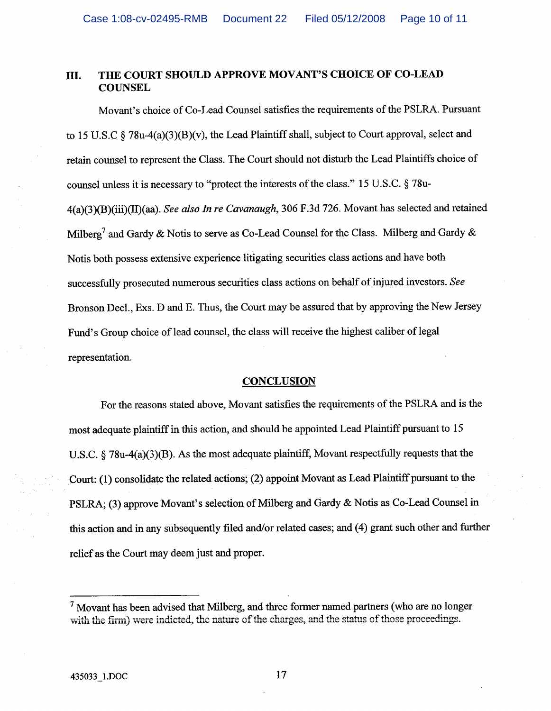### THE COURT SHOULD APPROVE MOVANT'S CHOICE OF CO-LEAD III. **COUNSEL**

Movant's choice of Co-Lead Counsel satisfies the requirements of the PSLRA. Pursuant to 15 U.S.C  $\frac{2}{3}$  78u-4(a)(3)(B)(v), the Lead Plaintiff shall, subject to Court approval, select and retain counsel to represent the Class. The Court should not disturb the Lead Plaintiffs choice of counsel unless it is necessary to "protect the interests of the class." 15 U.S.C. § 78u-4(a)(3)(B)(iii)(II)(aa). See also In re Cavanaugh, 306 F.3d 726. Movant has selected and retained Milberg<sup>7</sup> and Gardy & Notis to serve as Co-Lead Counsel for the Class. Milberg and Gardy & Notis both possess extensive experience litigating securities class actions and have both successfully prosecuted numerous securities class actions on behalf of injured investors. See Bronson Decl., Exs. D and E. Thus, the Court may be assured that by approving the New Jersey Fund's Group choice of lead counsel, the class will receive the highest caliber of legal representation.

### **CONCLUSION**

For the reasons stated above, Movant satisfies the requirements of the PSLRA and is the most adequate plaintiff in this action, and should be appointed Lead Plaintiff pursuant to 15 U.S.C.  $\S$  78u-4(a)(3)(B). As the most adequate plaintiff, Movant respectfully requests that the Court: (1) consolidate the related actions; (2) appoint Movant as Lead Plaintiff pursuant to the PSLRA: (3) approve Movant's selection of Milberg and Gardy & Notis as Co-Lead Counsel in this action and in any subsequently filed and/or related cases; and (4) grant such other and further relief as the Court may deem just and proper.

 $<sup>7</sup>$  Movant has been advised that Milberg, and three former named partners (who are no longer</sup> with the firm) were indicted, the nature of the charges, and the status of those proceedings.